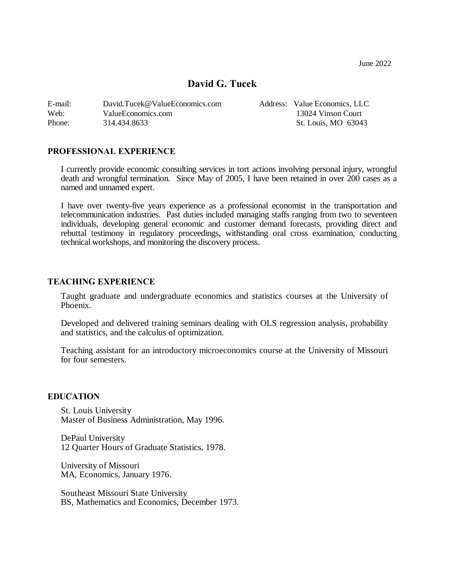June 2022

# **David G. Tucek**

| E-mail: | David.Tucek@ValueEconomics.com | Address: Value Economics, LLC |
|---------|--------------------------------|-------------------------------|
| Web:    | ValueEconomics.com             | 13024 Vinson Court            |
| Phone:  | 314.434.8633                   | St. Louis, MO 63043           |

### **PROFESSIONAL EXPERIENCE**

I currently provide economic consulting services in tort actions involving personal injury, wrongful death and wrongful termination. Since May of 2005, I have been retained in over 200 cases as a named and unnamed expert.

I have over twenty-five years experience as a professional economist in the transportation and telecommunication industries. Past duties included managing staffs ranging from two to seventeen individuals, developing general economic and customer demand forecasts, providing direct and rebuttal testimony in regulatory proceedings, withstanding oral cross examination, conducting technical workshops, and monitoring the discovery process.

#### **TEACHING EXPERIENCE**

Taught graduate and undergraduate economics and statistics courses at the University of Phoenix.

Developed and delivered training seminars dealing with OLS regression analysis, probability and statistics, and the calculus of optimization.

Teaching assistant for an introductory microeconomics course at the University of Missouri for four semesters.

#### **EDUCATION**

St. Louis University Master of Business Administration, May 1996.

DePaul University 12 Quarter Hours of Graduate Statistics, 1978.

University of Missouri MA, Economics, January 1976.

Southeast Missouri State University BS, Mathematics and Economics, December 1973.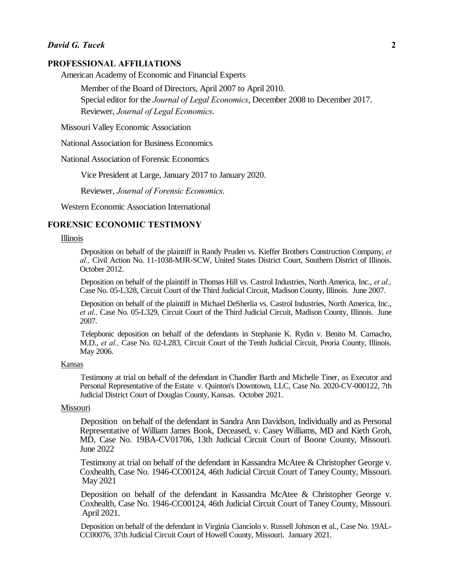#### **PROFESSIONAL AFFILIATIONS**

American Academy of Economic and Financial Experts

Member of the Board of Directors, April 2007 to April 2010. Special editor for the *Journal of Legal Economics*, December 2008 to December 2017. Reviewer, *Journal of Legal Economics*.

Missouri Valley Economic Association

National Association for Business Economics

National Association of Forensic Economics

Vice President at Large, January 2017 to January 2020.

Reviewer, *Journal of Forensic Economics*.

Western Economic Association International

### **FORENSIC ECONOMIC TESTIMONY**

#### Illinois

Deposition on behalf of the plaintiff in Randy Pruden vs. Kieffer Brothers Construction Company, *et al.,* Civil Action No. 11-1038-MJR-SCW, United States District Court, Southern District of Illinois. October 2012.

Deposition on behalf of the plaintiff in Thomas Hill vs. Castrol Industries, North America, Inc., *et al.,* Case No. 05-L328, Circuit Court of the Third Judicial Circuit, Madison County, Illinois. June 2007.

Deposition on behalf of the plaintiff in Michael DeSherlia vs. Castrol Industries, North America, Inc., *et al.,* Case No. 05-L329, Circuit Court of the Third Judicial Circuit, Madison County, Illinois. June 2007.

Telephonic deposition on behalf of the defendants in Stephanie K. Rydin v. Benito M. Camacho, M.D., *et al.,* Case No. 02-L283, Circuit Court of the Tenth Judicial Circuit, Peoria County, Illinois. May 2006.

#### Kansas

Testimony at trial on behalf of the defendant in Chandler Barth and Michelle Tiner, as Executor and Personal Representative of the Estate v. Quinton's Downtown, LLC, Case No. 2020-CV-000122, 7th Judicial District Court of Douglas County, Kansas. October 2021.

## Missouri

Deposition on behalf of the defendant in Sandra Ann Davidson, Individually and as Personal Representative of William James Book, Deceased, v. Casey Williams, MD and Kieth Groh, MD, Case No. 19BA-CV01706, 13th Judicial Circuit Court of Boone County, Missouri. June 2022

Testimony at trial on behalf of the defendant in Kassandra McAtee & Christopher George v. Coxhealth, Case No. 1946-CC00124, 46th Judicial Circuit Court of Taney County, Missouri. May 2021

Deposition on behalf of the defendant in Kassandra McAtee & Christopher George v. Coxhealth, Case No. 1946-CC00124, 46th Judicial Circuit Court of Taney County, Missouri. April 2021.

Deposition on behalf of the defendant in Virginia Cianciolo v. Russell Johnson et al., Case No. 19AL-CC00076, 37th Judicial Circuit Court of Howell County, Missouri. January 2021.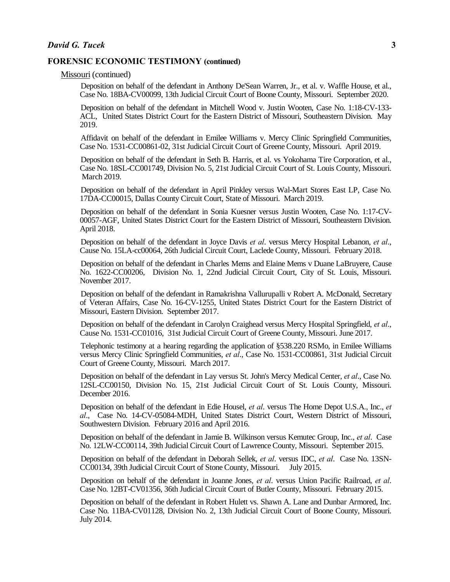Missouri (continued)

Deposition on behalf of the defendant in Anthony De'Sean Warren, Jr., et al. v. Waffle House, et al., Case No. 18BA-CV00099, 13th Judicial Circuit Court of Boone County, Missouri. September 2020.

Deposition on behalf of the defendant in Mitchell Wood v. Justin Wooten, Case No. 1:18-CV-133- ACL, United States District Court for the Eastern District of Missouri, Southeastern Division. May 2019.

Affidavit on behalf of the defendant in Emilee Williams v. Mercy Clinic Springfield Communities, Case No. 1531-CC00861-02, 31st Judicial Circuit Court of Greene County, Missouri. April 2019.

Deposition on behalf of the defendant in Seth B. Harris, et al. vs Yokohama Tire Corporation, et al., Case No. 18SL-CC001749, Division No. 5, 21st Judicial Circuit Court of St. Louis County, Missouri. March 2019.

Deposition on behalf of the defendant in April Pinkley versus Wal-Mart Stores East LP, Case No. 17DA-CC00015, Dallas County Circuit Court, State of Missouri. March 2019.

Deposition on behalf of the defendant in Sonia Kuesner versus Justin Wooten, Case No. 1:17-CV-00057-AGF, United States District Court for the Eastern District of Missouri, Southeastern Division. April 2018.

Deposition on behalf of the defendant in Joyce Davis *et al*. versus Mercy Hospital Lebanon, *et al*., Cause No. 15LA-cc00064, 26th Judicial Circuit Court, Laclede County, Missouri. February 2018.

Deposition on behalf of the defendant in Charles Mems and Elaine Mems v Duane LaBruyere, Cause No. 1622-CC00206, Division No. 1, 22nd Judicial Circuit Court, City of St. Louis, Missouri. November 2017.

Deposition on behalf of the defendant in Ramakrishna Vallurupalli v Robert A. McDonald, Secretary of Veteran Affairs, Case No. 16-CV-1255, United States District Court for the Eastern District of Missouri, Eastern Division. September 2017.

Deposition on behalf of the defendant in Carolyn Craighead versus Mercy Hospital Springfield, *et al*., Cause No. 1531-CC01016, 31st Judicial Circuit Court of Greene County, Missouri. June 2017.

Telephonic testimony at a hearing regarding the application of §538.220 RSMo, in Emilee Williams versus Mercy Clinic Springfield Communities, *et al*., Case No. 1531-CC00861, 31st Judicial Circuit Court of Greene County, Missouri. March 2017.

Deposition on behalf of the defendant in Lay versus St. John's Mercy Medical Center, *et al*., Case No. 12SL-CC00150, Division No. 15, 21st Judicial Circuit Court of St. Louis County, Missouri. December 2016.

Deposition on behalf of the defendant in Edie Housel, *et al*. versus The Home Depot U.S.A., Inc., *et al*., Case No. 14-CV-05084-MDH, United States District Court, Western District of Missouri, Southwestern Division. February 2016 and April 2016.

Deposition on behalf of the defendant in Jamie B. Wilkinson versus Kemutec Group, Inc., *et al*. Case No. 12LW-CC00114, 39th Judicial Circuit Court of Lawrence County, Missouri. September 2015.

Deposition on behalf of the defendant in Deborah Sellek, *et al*. versus IDC, *et al*. Case No. 13SN-CC00134, 39th Judicial Circuit Court of Stone County, Missouri. July 2015.

Deposition on behalf of the defendant in Joanne Jones, *et al*. versus Union Pacific Railroad, *et al*. Case No. 12BT-CV01356, 36th Judicial Circuit Court of Butler County, Missouri. February 2015.

Deposition on behalf of the defendant in Robert Hulett vs. Shawn A. Lane and Dunbar Armored, Inc. Case No. 11BA-CV01128, Division No. 2, 13th Judicial Circuit Court of Boone County, Missouri. July 2014.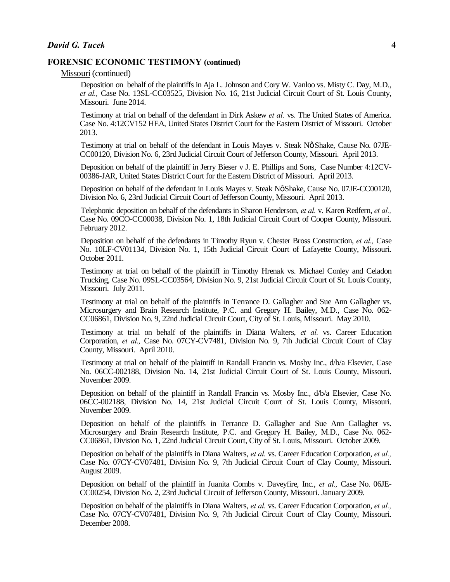Missouri (continued)

Deposition on behalf of the plaintiffs in Aja L. Johnson and Cory W. Vanloo vs. Misty C. Day, M.D., *et al.,* Case No. 13SL-CC03525, Division No. 16, 21st Judicial Circuit Court of St. Louis County, Missouri. June 2014.

Testimony at trial on behalf of the defendant in Dirk Askew *et al.* vs. The United States of America. Case No. 4:12CV152 HEA, United States District Court for the Eastern District of Missouri. October 2013.

Testimony at trial on behalf of the defendant in Louis Mayes v. Steak Nø Shake, Cause No. 07JE-CC00120, Division No. 6, 23rd Judicial Circuit Court of Jefferson County, Missouri. April 2013.

Deposition on behalf of the plaintiff in Jerry Bieser v J. E. Phillips and Sons, Case Number 4:12CV-00386-JAR, United States District Court for the Eastern District of Missouri. April 2013.

Deposition on behalf of the defendant in Louis Mayes v. Steak Nø Shake, Cause No. 07JE-CC00120, Division No. 6, 23rd Judicial Circuit Court of Jefferson County, Missouri. April 2013.

Telephonic deposition on behalf of the defendants in Sharon Henderson, *et al.* v. Karen Redfern, *et al.,* Case No. 09CO-CC00038, Division No. 1, 18th Judicial Circuit Court of Cooper County, Missouri. February 2012.

Deposition on behalf of the defendants in Timothy Ryun v. Chester Bross Construction, *et al.,* Case No. 10LF-CV01134, Division No. 1, 15th Judicial Circuit Court of Lafayette County, Missouri. October 2011.

Testimony at trial on behalf of the plaintiff in Timothy Hrenak vs. Michael Conley and Celadon Trucking, Case No. 09SL-CC03564, Division No. 9, 21st Judicial Circuit Court of St. Louis County, Missouri. July 2011.

Testimony at trial on behalf of the plaintiffs in Terrance D. Gallagher and Sue Ann Gallagher vs. Microsurgery and Brain Research Institute, P.C. and Gregory H. Bailey, M.D., Case No. 062- CC06861, Division No. 9, 22nd Judicial Circuit Court, City of St. Louis, Missouri. May 2010.

Testimony at trial on behalf of the plaintiffs in Diana Walters, *et al.* vs. Career Education Corporation, *et al.,* Case No. 07CY-CV7481, Division No. 9, 7th Judicial Circuit Court of Clay County, Missouri. April 2010.

Testimony at trial on behalf of the plaintiff in Randall Francin vs. Mosby Inc., d/b/a Elsevier, Case No. 06CC-002188, Division No. 14, 21st Judicial Circuit Court of St. Louis County, Missouri. November 2009.

Deposition on behalf of the plaintiff in Randall Francin vs. Mosby Inc., d/b/a Elsevier, Case No. 06CC-002188, Division No. 14, 21st Judicial Circuit Court of St. Louis County, Missouri. November 2009.

Deposition on behalf of the plaintiffs in Terrance D. Gallagher and Sue Ann Gallagher vs. Microsurgery and Brain Research Institute, P.C. and Gregory H. Bailey, M.D., Case No. 062- CC06861, Division No. 1, 22nd Judicial Circuit Court, City of St. Louis, Missouri. October 2009.

Deposition on behalf of the plaintiffs in Diana Walters, *et al.* vs. Career Education Corporation, *et al.,* Case No. 07CY-CV07481, Division No. 9, 7th Judicial Circuit Court of Clay County, Missouri. August 2009.

Deposition on behalf of the plaintiff in Juanita Combs v. Daveyfire, Inc., *et al.,* Case No. 06JE-CC00254, Division No. 2, 23rd Judicial Circuit of Jefferson County, Missouri. January 2009.

Deposition on behalf of the plaintiffs in Diana Walters, *et al.* vs. Career Education Corporation, *et al.,* Case No. 07CY-CV07481, Division No. 9, 7th Judicial Circuit Court of Clay County, Missouri. December 2008.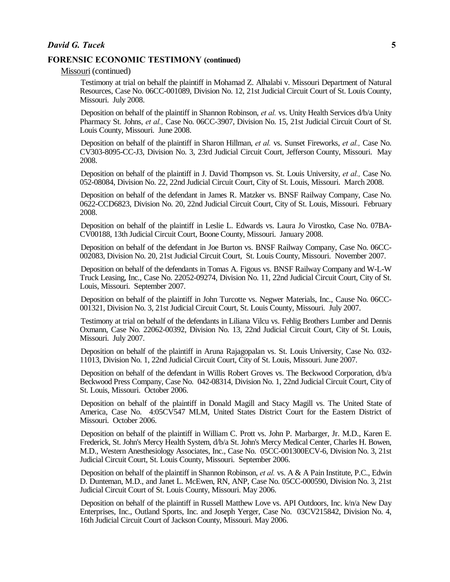Missouri (continued)

Testimony at trial on behalf the plaintiff in Mohamad Z. Alhalabi v. Missouri Department of Natural Resources, Case No. 06CC-001089, Division No. 12, 21st Judicial Circuit Court of St. Louis County, Missouri. July 2008.

Deposition on behalf of the plaintiff in Shannon Robinson, *et al.* vs. Unity Health Services d/b/a Unity Pharmacy St. Johns, *et al.,* Case No. 06CC-3907, Division No. 15, 21st Judicial Circuit Court of St. Louis County, Missouri. June 2008.

Deposition on behalf of the plaintiff in Sharon Hillman, *et al.* vs. Sunset Fireworks, *et al.,* Case No. CV303-8095-CC-J3, Division No. 3, 23rd Judicial Circuit Court, Jefferson County, Missouri. May 2008.

Deposition on behalf of the plaintiff in J. David Thompson vs. St. Louis University, *et al.,* Case No. 052-08084, Division No. 22, 22nd Judicial Circuit Court, City of St. Louis, Missouri. March 2008.

Deposition on behalf of the defendant in James R. Matzker vs. BNSF Railway Company, Case No. 0622-CCD6823, Division No. 20, 22nd Judicial Circuit Court, City of St. Louis, Missouri. February 2008.

Deposition on behalf of the plaintiff in Leslie L. Edwards vs. Laura Jo Virostko, Case No. 07BA-CV00188, 13th Judicial Circuit Court, Boone County, Missouri. January 2008.

Deposition on behalf of the defendant in Joe Burton vs. BNSF Railway Company, Case No. 06CC-002083, Division No. 20, 21st Judicial Circuit Court, St. Louis County, Missouri. November 2007.

Deposition on behalf of the defendants in Tomas A. Figous vs. BNSF Railway Company and W-L-W Truck Leasing, Inc., Case No. 22052-09274, Division No. 11, 22nd Judicial Circuit Court, City of St. Louis, Missouri. September 2007.

Deposition on behalf of the plaintiff in John Turcotte vs. Negwer Materials, Inc., Cause No. 06CC-001321, Division No. 3, 21st Judicial Circuit Court, St. Louis County, Missouri. July 2007.

Testimony at trial on behalf of the defendants in Liliana Vilcu vs. Fehlig Brothers Lumber and Dennis Oxmann, Case No. 22062-00392, Division No. 13, 22nd Judicial Circuit Court, City of St. Louis, Missouri. July 2007.

Deposition on behalf of the plaintiff in Aruna Rajagopalan vs. St. Louis University, Case No. 032- 11013, Division No. 1, 22nd Judicial Circuit Court, City of St. Louis, Missouri. June 2007.

Deposition on behalf of the defendant in Willis Robert Groves vs. The Beckwood Corporation, d/b/a Beckwood Press Company, Case No. 042-08314, Division No. 1, 22nd Judicial Circuit Court, City of St. Louis, Missouri. October 2006.

Deposition on behalf of the plaintiff in Donald Magill and Stacy Magill vs. The United State of America, Case No. 4:05CV547 MLM, United States District Court for the Eastern District of Missouri. October 2006.

Deposition on behalf of the plaintiff in William C. Prott vs. John P. Marbarger, Jr. M.D., Karen E. Frederick, St. John's Mercy Health System, d/b/a St. John's Mercy Medical Center, Charles H. Bowen, M.D., Western Anesthesiology Associates, Inc., Case No. 05CC-001300ECV-6, Division No. 3, 21st Judicial Circuit Court, St. Louis County, Missouri. September 2006.

Deposition on behalf of the plaintiff in Shannon Robinson, *et al.* vs. A & A Pain Institute, P.C., Edwin D. Dunteman, M.D., and Janet L. McEwen, RN, ANP, Case No. 05CC-000590, Division No. 3, 21st Judicial Circuit Court of St. Louis County, Missouri. May 2006.

Deposition on behalf of the plaintiff in Russell Matthew Love vs. API Outdoors, Inc. k/n/a New Day Enterprises, Inc., Outland Sports, Inc. and Joseph Yerger, Case No. 03CV215842, Division No. 4, 16th Judicial Circuit Court of Jackson County, Missouri. May 2006.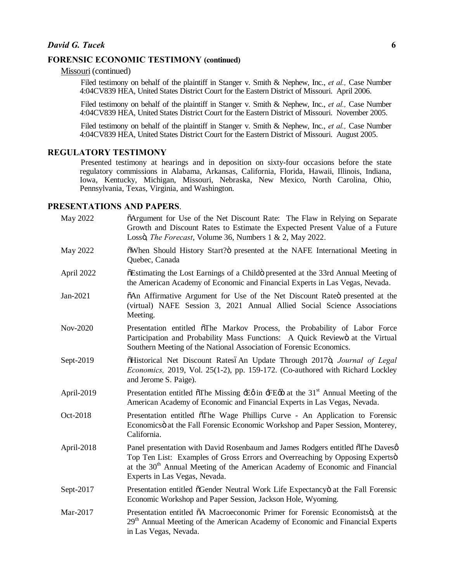Missouri (continued)

Filed testimony on behalf of the plaintiff in Stanger v. Smith & Nephew, Inc., *et al.,* Case Number 4:04CV839 HEA, United States District Court for the Eastern District of Missouri. April 2006.

Filed testimony on behalf of the plaintiff in Stanger v. Smith & Nephew, Inc., *et al.,* Case Number 4:04CV839 HEA, United States District Court for the Eastern District of Missouri. November 2005.

Filed testimony on behalf of the plaintiff in Stanger v. Smith & Nephew, Inc., *et al.,* Case Number 4:04CV839 HEA, United States District Court for the Eastern District of Missouri. August 2005.

#### **REGULATORY TESTIMONY**

Presented testimony at hearings and in deposition on sixty-four occasions before the state regulatory commissions in Alabama, Arkansas, California, Florida, Hawaii, Illinois, Indiana, Iowa, Kentucky, Michigan, Missouri, Nebraska, New Mexico, North Carolina, Ohio, Pennsylvania, Texas, Virginia, and Washington.

## **PRESENTATIONS AND PAPERS**.

| May 2022   | õArgument for Use of the Net Discount Rate: The Flaw in Relying on Separate<br>Growth and Discount Rates to Estimate the Expected Present Value of a Future<br>Lossö, <i>The Forecast</i> , Volume 36, Numbers 1 & 2, May 2022.                                                             |
|------------|---------------------------------------------------------------------------------------------------------------------------------------------------------------------------------------------------------------------------------------------------------------------------------------------|
| May 2022   | öWhen Should History Start? o presented at the NAFE International Meeting in<br>Quebec, Canada                                                                                                                                                                                              |
| April 2022 | öEstimating the Lost Earnings of a Childö presented at the 33rd Annual Meeting of<br>the American Academy of Economic and Financial Experts in Las Vegas, Nevada.                                                                                                                           |
| Jan-2021   | õAn Affirmative Argument for Use of the Net Discount Rateo presented at the<br>(virtual) NAFE Session 3, 2021 Annual Allied Social Science Associations<br>Meeting.                                                                                                                         |
| Nov-2020   | Presentation entitled of the Markov Process, the Probability of Labor Force<br>Participation and Probability Mass Functions: A Quick Reviewö at the Virtual<br>Southern Meeting of the National Association of Forensic Economics.                                                          |
| Sept-2019  | õHistorical Net Discount RatesóAn Update Through 2017ö, Journal of Legal<br>Economics, 2019, Vol. 25(1-2), pp. 159-172. (Co-authored with Richard Lockley<br>and Jerome S. Paige).                                                                                                          |
| April-2019 | Presentation entitled $\tilde{o}$ The Missing $\pm \varrho$ in $\pm E\varphi$ at the 31 <sup>st</sup> Annual Meeting of the<br>American Academy of Economic and Financial Experts in Las Vegas, Nevada.                                                                                     |
| Oct-2018   | Presentation entitled õThe Wage Phillips Curve - An Application to Forensic<br>Economicsö at the Fall Forensic Economic Workshop and Paper Session, Monterey,<br>California.                                                                                                                |
| April-2018 | Panel presentation with David Rosenbaum and James Rodgers entitled öThe Davesø<br>Top Ten List: Examples of Gross Errors and Overreaching by Opposing Expertsö<br>at the 30 <sup>th</sup> Annual Meeting of the American Academy of Economic and Financial<br>Experts in Las Vegas, Nevada. |
| Sept-2017  | Presentation entitled õGender Neutral Work Life Expectancyö at the Fall Forensic<br>Economic Workshop and Paper Session, Jackson Hole, Wyoming.                                                                                                                                             |
| Mar-2017   | Presentation entitled õA Macroeconomic Primer for Forensic Economistsö, at the<br>29 <sup>th</sup> Annual Meeting of the American Academy of Economic and Financial Experts<br>in Las Vegas, Nevada.                                                                                        |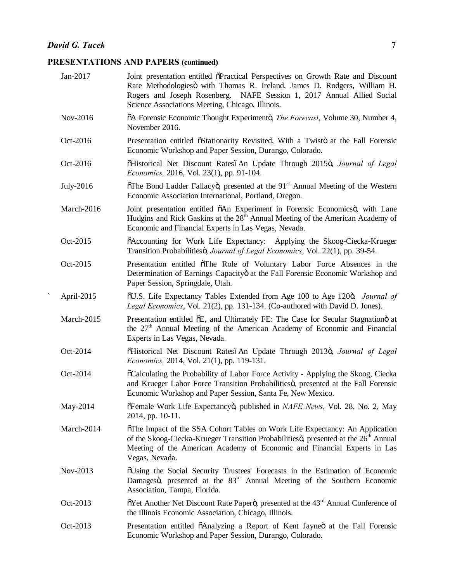# **PRESENTATIONS AND PAPERS (continued)**

| Jan-2017   | Joint presentation entitled õPractical Perspectives on Growth Rate and Discount<br>Rate Methodologiesö with Thomas R. Ireland, James D. Rodgers, William H.<br>Rogers and Joseph Rosenberg. NAFE Session 1, 2017 Annual Allied Social<br>Science Associations Meeting, Chicago, Illinois. |
|------------|-------------------------------------------------------------------------------------------------------------------------------------------------------------------------------------------------------------------------------------------------------------------------------------------|
| Nov-2016   | õA Forensic Economic Thought Experimentö, <i>The Forecast</i> , Volume 30, Number 4,<br>November 2016.                                                                                                                                                                                    |
| Oct-2016   | Presentation entitled õStationarity Revisited, With a Twistö at the Fall Forensic<br>Economic Workshop and Paper Session, Durango, Colorado.                                                                                                                                              |
| Oct-2016   | õHistorical Net Discount RatesóAn Update Through 2015ö, Journal of Legal<br><i>Economics</i> , 2016, Vol. 23(1), pp. 91-104.                                                                                                                                                              |
| July-2016  | öThe Bond Ladder Fallacyö, presented at the 91 <sup>st</sup> Annual Meeting of the Western<br>Economic Association International, Portland, Oregon.                                                                                                                                       |
| March-2016 | Joint presentation entitled $\delta An$ Experiment in Forensic Economicso, with Lane<br>Hudgins and Rick Gaskins at the 28 <sup>th</sup> Annual Meeting of the American Academy of<br>Economic and Financial Experts in Las Vegas, Nevada.                                                |
| Oct-2015   | õAccounting for Work Life Expectancy: Applying the Skoog-Ciecka-Krueger<br>Transition Probabilitiesö, Journal of Legal Economics, Vol. 22(1), pp. 39-54.                                                                                                                                  |
| Oct-2015   | Presentation entitled oThe Role of Voluntary Labor Force Absences in the<br>Determination of Earnings Capacityö at the Fall Forensic Economic Workshop and<br>Paper Session, Springdale, Utah.                                                                                            |
| April-2015 | õU.S. Life Expectancy Tables Extended from Age 100 to Age 120ö. Journal of<br>Legal Economics, Vol. 21(2), pp. 131-134. (Co-authored with David D. Jones).                                                                                                                                |
| March-2015 | Presentation entitled $\delta E$ , and Ultimately FE: The Case for Secular Stagnation at<br>the 27 <sup>th</sup> Annual Meeting of the American Academy of Economic and Financial<br>Experts in Las Vegas, Nevada.                                                                        |
| Oct-2014   | õHistorical Net Discount RatesóAn Update Through 2013ö, Journal of Legal<br><i>Economics</i> , 2014, Vol. 21(1), pp. 119-131.                                                                                                                                                             |
| Oct-2014   | oCalculating the Probability of Labor Force Activity - Applying the Skoog, Ciecka<br>and Krueger Labor Force Transition Probabilitiesö, presented at the Fall Forensic<br>Economic Workshop and Paper Session, Santa Fe, New Mexico.                                                      |
| May-2014   | õFemale Work Life Expectancyö, published in NAFE News, Vol. 28, No. 2, May<br>2014, pp. 10-11.                                                                                                                                                                                            |
| March-2014 | öThe Impact of the SSA Cohort Tables on Work Life Expectancy: An Application<br>of the Skoog-Ciecka-Krueger Transition Probabilitiesö, presented at the 26 <sup>th</sup> Annual<br>Meeting of the American Academy of Economic and Financial Experts in Las<br>Vegas, Nevada.             |
| Nov-2013   | öUsing the Social Security Trustees' Forecasts in the Estimation of Economic<br>Damagesö, presented at the 83 <sup>rd</sup> Annual Meeting of the Southern Economic<br>Association, Tampa, Florida.                                                                                       |
| Oct-2013   | õYet Another Net Discount Rate Paperö, presented at the 43 <sup>rd</sup> Annual Conference of<br>the Illinois Economic Association, Chicago, Illinois.                                                                                                                                    |
| Oct-2013   | Presentation entitled õAnalyzing a Report of Kent Jayneö at the Fall Forensic<br>Economic Workshop and Paper Session, Durango, Colorado.                                                                                                                                                  |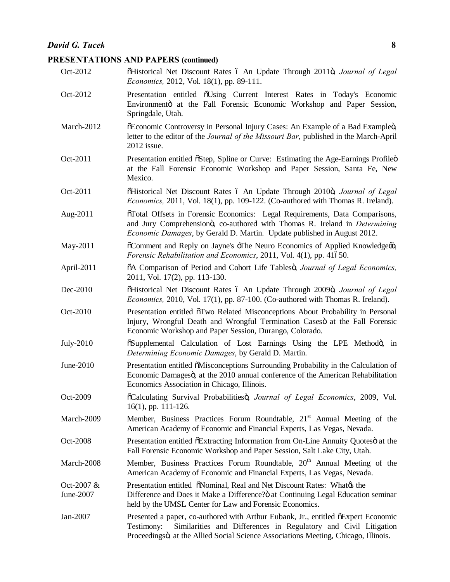# **David G. Tucek 8**

# **PRESENTATIONS AND PAPERS (continued)**

| Oct-2012                  | õHistorical Net Discount Rates ó An Update Through 2011ö, Journal of Legal<br>Economics, 2012, Vol. 18(1), pp. 89-111.                                                                                                                                    |
|---------------------------|-----------------------------------------------------------------------------------------------------------------------------------------------------------------------------------------------------------------------------------------------------------|
| Oct-2012                  | Presentation entitled $\tilde{o}$ Using Current Interest Rates in Today's Economic<br>Environmento at the Fall Forensic Economic Workshop and Paper Session,<br>Springdale, Utah.                                                                         |
| March-2012                | õEconomic Controversy in Personal Injury Cases: An Example of a Bad Exampleö,<br>letter to the editor of the Journal of the Missouri Bar, published in the March-April<br>2012 issue.                                                                     |
| Oct-2011                  | Presentation entitled $\delta$ Step, Spline or Curve: Estimating the Age-Earnings Profileo<br>at the Fall Forensic Economic Workshop and Paper Session, Santa Fe, New<br>Mexico.                                                                          |
| Oct-2011                  | õHistorical Net Discount Rates ó An Update Through 2010ö, Journal of Legal<br><i>Economics</i> , 2011, Vol. 18(1), pp. 109-122. (Co-authored with Thomas R. Ireland).                                                                                     |
| Aug-2011                  | õTotal Offsets in Forensic Economics: Legal Requirements, Data Comparisons,<br>and Jury Comprehensionö, co-authored with Thomas R. Ireland in <i>Determining</i><br><i>Economic Damages</i> , by Gerald D. Martin. Update published in August 2012.       |
| May-2011                  | öComment and Reply on Jayne's -The Neuro Economics of Applied Knowledgeø,<br>Forensic Rehabilitation and Economics, 2011, Vol. 4(1), pp. 41650.                                                                                                           |
| April-2011                | 6A Comparison of Period and Cohort Life Tablesö, Journal of Legal Economics,<br>2011, Vol. 17(2), pp. 113-130.                                                                                                                                            |
| Dec-2010                  | õHistorical Net Discount Rates ó An Update Through 2009ö, Journal of Legal<br>Economics, 2010, Vol. 17(1), pp. 87-100. (Co-authored with Thomas R. Ireland).                                                                                              |
| Oct-2010                  | Presentation entitled $\delta Two$ Related Misconceptions About Probability in Personal<br>Injury, Wrongful Death and Wrongful Termination Casesö at the Fall Forensic<br>Economic Workshop and Paper Session, Durango, Colorado.                         |
| July-2010                 | öSupplemental Calculation of Lost Earnings Using the LPE Methodö, in<br>Determining Economic Damages, by Gerald D. Martin.                                                                                                                                |
| June-2010                 | Presentation entitled õMisconceptions Surrounding Probability in the Calculation of<br>Economic Damagesö, at the 2010 annual conference of the American Rehabilitation<br>Economics Association in Chicago, Illinois.                                     |
| Oct-2009                  | õCalculating Survival Probabilitiesö, Journal of Legal Economics, 2009, Vol.<br>$16(1)$ , pp. 111-126.                                                                                                                                                    |
| March-2009                | Member, Business Practices Forum Roundtable, 21 <sup>st</sup> Annual Meeting of the<br>American Academy of Economic and Financial Experts, Las Vegas, Nevada.                                                                                             |
| Oct-2008                  | Presentation entitled $\delta$ Extracting Information from On-Line Annuity Quotes at the<br>Fall Forensic Economic Workshop and Paper Session, Salt Lake City, Utah.                                                                                      |
| March-2008                | Member, Business Practices Forum Roundtable, 20 <sup>th</sup> Annual Meeting of the<br>American Academy of Economic and Financial Experts, Las Vegas, Nevada.                                                                                             |
| Oct-2007 $&$<br>June-2007 | Presentation entitled $\ddot{\text{o}}$ Nominal, Real and Net Discount Rates: What the<br>Difference and Does it Make a Difference? at Continuing Legal Education seminar<br>held by the UMSL Center for Law and Forensic Economics.                      |
| Jan-2007                  | Presented a paper, co-authored with Arthur Eubank, Jr., entitled õExpert Economic<br>Similarities and Differences in Regulatory and Civil Litigation<br>Testimony:<br>Proceedingsö, at the Allied Social Science Associations Meeting, Chicago, Illinois. |